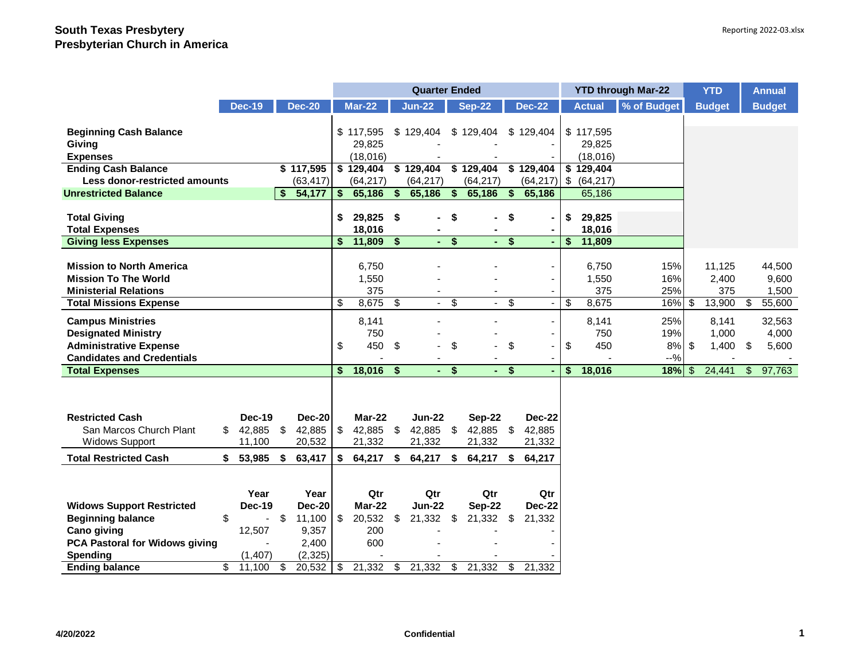|                                   |               |               |                           | <b>Quarter Ended</b> |              |               |                   |                     |                         | <b>YTD through Mar-22</b> |           |               | <b>YTD</b>  |        | <b>Annual</b> |      |               |
|-----------------------------------|---------------|---------------|---------------------------|----------------------|--------------|---------------|-------------------|---------------------|-------------------------|---------------------------|-----------|---------------|-------------|--------|---------------|------|---------------|
|                                   | <b>Dec-19</b> | <b>Dec-20</b> |                           | <b>Mar-22</b>        |              | <b>Jun-22</b> |                   | <b>Sep-22</b>       |                         | <b>Dec-22</b>             |           | <b>Actual</b> | % of Budget |        | <b>Budget</b> |      | <b>Budget</b> |
|                                   |               |               |                           |                      |              |               |                   |                     |                         |                           |           |               |             |        |               |      |               |
| <b>Beginning Cash Balance</b>     |               |               |                           | \$117,595            |              | \$129,404     | \$                | 129,404             | \$                      | 129,404                   |           | \$117,595     |             |        |               |      |               |
| Giving                            |               |               |                           | 29,825               |              |               |                   |                     |                         |                           |           | 29,825        |             |        |               |      |               |
| <b>Expenses</b>                   |               |               |                           | (18,016)             |              |               |                   |                     |                         |                           |           | (18,016)      |             |        |               |      |               |
| <b>Ending Cash Balance</b>        |               | \$117,595     |                           | \$129,404            |              | \$129,404     |                   | \$129,404 \$129,404 |                         |                           |           | \$129,404     |             |        |               |      |               |
| Less donor-restricted amounts     |               | (63, 417)     |                           | (64, 217)            |              | (64, 217)     |                   | (64, 217)           |                         | (64, 217)                 | <b>\$</b> | (64, 217)     |             |        |               |      |               |
| <b>Unrestricted Balance</b>       |               | \$<br>54,177  | $\boldsymbol{\mathsf{s}}$ | 65,186               | $\mathbf{s}$ | 65,186        | $\boldsymbol{\$}$ | 65,186              | \$                      | 65,186                    |           | 65,186        |             |        |               |      |               |
|                                   |               |               |                           |                      |              |               |                   |                     |                         |                           |           |               |             |        |               |      |               |
| <b>Total Giving</b>               |               |               | \$                        | 29,825 \$            |              |               | \$                |                     | \$                      |                           | \$        | 29,825        |             |        |               |      |               |
| <b>Total Expenses</b>             |               |               |                           | 18,016               |              |               |                   |                     |                         | $\blacksquare$            |           | 18,016        |             |        |               |      |               |
| <b>Giving less Expenses</b>       |               |               | \$                        | 11,809               | \$           |               | $-5$              | $\sim$              | $\overline{\mathbf{S}}$ | ۰                         | \$        | 11,809        |             |        |               |      |               |
| <b>Mission to North America</b>   |               |               |                           | 6,750                |              |               |                   |                     |                         |                           |           | 6,750         |             | 15%    | 11,125        |      | 44,500        |
| <b>Mission To The World</b>       |               |               |                           |                      |              |               |                   |                     |                         |                           |           |               |             |        |               |      |               |
|                                   |               |               |                           | 1,550<br>375         |              |               |                   |                     |                         |                           |           | 1,550         |             | 16%    | 2,400         |      | 9,600         |
| <b>Ministerial Relations</b>      |               |               |                           |                      |              |               |                   |                     |                         |                           |           | 375           |             | 25%    | 375           |      | 1,500         |
| <b>Total Missions Expense</b>     |               |               | \$                        | 8,675                | \$           | $\omega$      | \$                |                     | \$                      |                           | \$        | 8,675         |             | 16%    | \$<br>13,900  | \$   | 55,600        |
| <b>Campus Ministries</b>          |               |               |                           | 8,141                |              |               |                   |                     |                         | $\blacksquare$            |           | 8,141         |             | 25%    | 8.141         |      | 32,563        |
| <b>Designated Ministry</b>        |               |               |                           | 750                  |              |               |                   |                     |                         | $\blacksquare$            |           | 750           |             | 19%    | 1,000         |      | 4,000         |
| <b>Administrative Expense</b>     |               |               | \$                        | 450                  | \$           |               | \$                |                     | \$                      | $\overline{a}$            | \$        | 450           |             | 8%     | \$<br>1,400   | - \$ | 5,600         |
| <b>Candidates and Credentials</b> |               |               |                           |                      |              |               |                   |                     |                         |                           |           |               |             | $-9/6$ |               |      |               |
| <b>Total Expenses</b>             |               |               | \$                        | 18,016               | \$           | ÷.            | \$                |                     | \$                      |                           | \$        | 18,016        |             | 18%    | \$<br>24,441  | \$   | 97,763        |
|                                   |               |               |                           |                      |              |               |                   |                     |                         |                           |           |               |             |        |               |      |               |
|                                   |               |               |                           |                      |              |               |                   |                     |                         |                           |           |               |             |        |               |      |               |
| <b>Restricted Cash</b>            | Dec-19        | <b>Dec-20</b> |                           | Mar-22               |              | <b>Jun-22</b> |                   | <b>Sep-22</b>       |                         | <b>Dec-22</b>             |           |               |             |        |               |      |               |
| San Marcos Church Plant           | $$42,885$ \$  | 42,885        | \$                        | 42,885               | \$           | 42,885 \$     |                   | 42,885 \$           |                         | 42,885                    |           |               |             |        |               |      |               |
| <b>Widows Support</b>             | 11,100        | 20,532        |                           | 21,332               |              | 21,332        |                   | 21,332              |                         | 21,332                    |           |               |             |        |               |      |               |
| <b>Total Restricted Cash</b>      | \$<br>53,985  | \$<br>63,417  | \$                        | 64,217               | \$           | 64,217        | \$                | 64,217              | - \$                    | 64,217                    |           |               |             |        |               |      |               |
|                                   |               |               |                           |                      |              |               |                   |                     |                         |                           |           |               |             |        |               |      |               |
|                                   |               |               |                           |                      |              |               |                   |                     |                         |                           |           |               |             |        |               |      |               |
|                                   | Year          | Year          |                           | Qtr                  |              | Qtr           |                   | Qtr                 |                         | Qtr                       |           |               |             |        |               |      |               |
| <b>Widows Support Restricted</b>  | <b>Dec-19</b> | <b>Dec-20</b> |                           | Mar-22               |              | <b>Jun-22</b> |                   | <b>Sep-22</b>       |                         | Dec-22                    |           |               |             |        |               |      |               |
| <b>Beginning balance</b>          | \$            | \$<br>11,100  | $\mathfrak{S}$            | 20,532               | \$           | 21,332        | \$                | 21,332              | -\$                     | 21,332                    |           |               |             |        |               |      |               |
| Cano giving                       | 12,507        | 9,357         |                           | 200                  |              |               |                   |                     |                         |                           |           |               |             |        |               |      |               |
| PCA Pastoral for Widows giving    |               | 2,400         |                           | 600                  |              |               |                   |                     |                         |                           |           |               |             |        |               |      |               |
| <b>Spending</b>                   | (1, 407)      | (2, 325)      |                           |                      |              |               |                   |                     |                         |                           |           |               |             |        |               |      |               |
| <b>Ending balance</b>             | \$<br>11,100  | \$<br>20,532  | \$                        | 21,332               | \$           | 21,332        | \$                | 21,332              | \$                      | 21,332                    |           |               |             |        |               |      |               |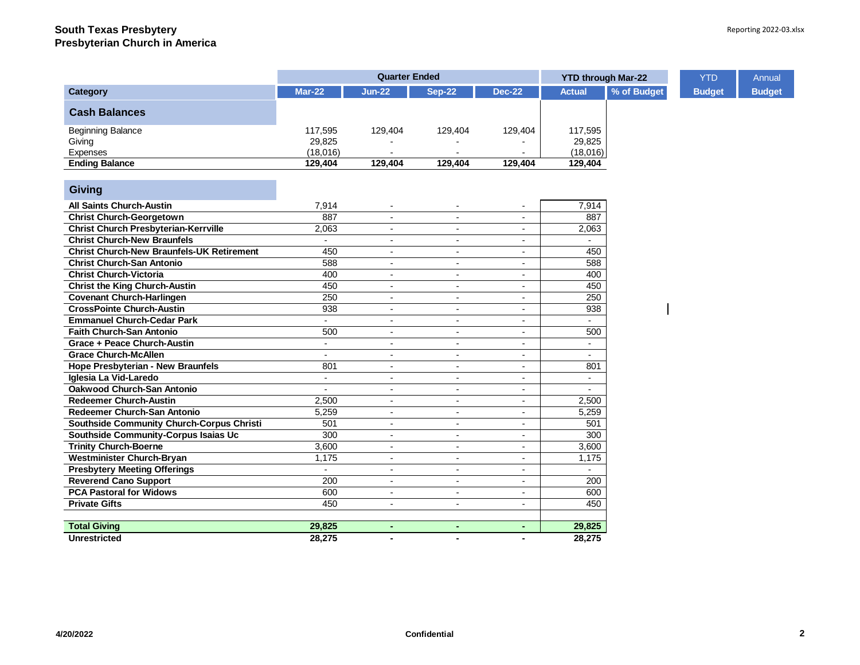|                                                  |                     | <b>Quarter Ended</b>     |                          | <b>YTD through Mar-22</b> |                          | <b>YTD</b>  | Annual        |               |
|--------------------------------------------------|---------------------|--------------------------|--------------------------|---------------------------|--------------------------|-------------|---------------|---------------|
| Category                                         | <b>Mar-22</b>       | <b>Jun-22</b>            | <b>Sep-22</b>            | <b>Dec-22</b>             | <b>Actual</b>            | % of Budget | <b>Budget</b> | <b>Budget</b> |
| <b>Cash Balances</b>                             |                     |                          |                          |                           |                          |             |               |               |
| <b>Beginning Balance</b>                         | 117,595             | 129,404                  | 129,404                  | 129,404                   | 117,595                  |             |               |               |
| Giving                                           | 29,825              |                          |                          |                           | 29,825                   |             |               |               |
| <b>Expenses</b>                                  | (18,016)            |                          |                          |                           | (18,016)                 |             |               |               |
| <b>Ending Balance</b>                            | 129,404             | 129,404                  | 129,404                  | 129,404                   | 129,404                  |             |               |               |
| Giving                                           |                     |                          |                          |                           |                          |             |               |               |
|                                                  |                     |                          |                          |                           |                          |             |               |               |
| <b>All Saints Church-Austin</b>                  | 7,914               |                          |                          | $\overline{\phantom{a}}$  | 7,914                    |             |               |               |
| <b>Christ Church-Georgetown</b>                  | 887                 | $\blacksquare$           | $\blacksquare$           | $\blacksquare$            | 887                      |             |               |               |
| <b>Christ Church Presbyterian-Kerrville</b>      | 2,063               | $\blacksquare$           |                          | $\blacksquare$            | 2,063                    |             |               |               |
| <b>Christ Church-New Braunfels</b>               | $\mathcal{L}^{\pm}$ | $\overline{a}$           |                          | $\overline{a}$            |                          |             |               |               |
| <b>Christ Church-New Braunfels-UK Retirement</b> | 450                 | $\overline{\phantom{a}}$ | $\overline{\phantom{a}}$ | $\blacksquare$            | 450                      |             |               |               |
| <b>Christ Church-San Antonio</b>                 | 588                 | $\overline{\phantom{a}}$ | $\overline{\phantom{a}}$ | $\overline{\phantom{a}}$  | 588                      |             |               |               |
| <b>Christ Church-Victoria</b>                    | 400                 | $\blacksquare$           | $\blacksquare$           | $\overline{a}$            | 400                      |             |               |               |
| <b>Christ the King Church-Austin</b>             | 450                 | $\blacksquare$           | $\overline{\phantom{a}}$ | $\blacksquare$            | 450                      |             |               |               |
| <b>Covenant Church-Harlingen</b>                 | 250                 | $\blacksquare$           | $\overline{\phantom{a}}$ | $\overline{\phantom{a}}$  | 250                      |             |               |               |
| <b>CrossPointe Church-Austin</b>                 | 938                 | $\blacksquare$           | $\blacksquare$           | $\blacksquare$            | 938                      |             |               |               |
| <b>Emmanuel Church-Cedar Park</b>                | $\sim$              | $\blacksquare$           | $\overline{\phantom{a}}$ | $\overline{\phantom{a}}$  | $\sim$                   |             |               |               |
| <b>Faith Church-San Antonio</b>                  | 500                 | $\blacksquare$           | $\overline{\phantom{a}}$ | $\overline{\phantom{a}}$  | 500                      |             |               |               |
| Grace + Peace Church-Austin                      | $\blacksquare$      | $\overline{\phantom{a}}$ | $\overline{\phantom{a}}$ | $\overline{\phantom{a}}$  | $\sim$                   |             |               |               |
| <b>Grace Church-McAllen</b>                      |                     | $\blacksquare$           |                          | $\blacksquare$            | $\overline{\phantom{a}}$ |             |               |               |
| <b>Hope Presbyterian - New Braunfels</b>         | 801                 | $\blacksquare$           |                          | $\overline{\phantom{a}}$  | 801                      |             |               |               |
| Iglesia La Vid-Laredo                            | $\blacksquare$      | $\overline{\phantom{a}}$ | $\overline{\phantom{a}}$ | $\blacksquare$            | $\blacksquare$           |             |               |               |
| <b>Oakwood Church-San Antonio</b>                | $\blacksquare$      | $\sim$                   | $\overline{\phantom{a}}$ | $\blacksquare$            | $\overline{\phantom{a}}$ |             |               |               |
| <b>Redeemer Church-Austin</b>                    | 2,500               | $\blacksquare$           | $\overline{\phantom{a}}$ | $\overline{\phantom{a}}$  | 2,500                    |             |               |               |
| Redeemer Church-San Antonio                      | 5,259               | $\blacksquare$           | $\overline{\phantom{a}}$ | $\overline{\phantom{a}}$  | 5,259                    |             |               |               |
| Southside Community Church-Corpus Christi        | 501                 | $\overline{\phantom{a}}$ | $\overline{\phantom{a}}$ | $\overline{\phantom{a}}$  | 501                      |             |               |               |
| Southside Community-Corpus Isaias Uc             | 300                 | $\overline{a}$           | $\blacksquare$           | $\overline{a}$            | 300                      |             |               |               |
| <b>Trinity Church-Boerne</b>                     | 3,600               | $\blacksquare$           | $\overline{\phantom{a}}$ | $\blacksquare$            | 3,600                    |             |               |               |
| Westminister Church-Bryan                        | 1,175               | $\blacksquare$           | $\blacksquare$           | $\overline{\phantom{a}}$  | 1,175                    |             |               |               |
| <b>Presbytery Meeting Offerings</b>              |                     | $\overline{a}$           | $\blacksquare$           | $\blacksquare$            |                          |             |               |               |
| <b>Reverend Cano Support</b>                     | 200                 | $\blacksquare$           | $\overline{\phantom{a}}$ | $\blacksquare$            | 200                      |             |               |               |
| <b>PCA Pastoral for Widows</b>                   | 600                 | $\blacksquare$           | $\blacksquare$           | $\overline{\phantom{a}}$  | 600                      |             |               |               |
| <b>Private Gifts</b>                             | 450                 | $\overline{\phantom{0}}$ | $\blacksquare$           | $\blacksquare$            | 450                      |             |               |               |
|                                                  |                     |                          |                          |                           |                          |             |               |               |
| <b>Total Giving</b>                              | 29,825              | ٠                        | $\blacksquare$           | ٠                         | 29,825                   |             |               |               |
| <b>Unrestricted</b>                              | 28,275              | $\blacksquare$           | $\blacksquare$           | $\blacksquare$            | 28,275                   |             |               |               |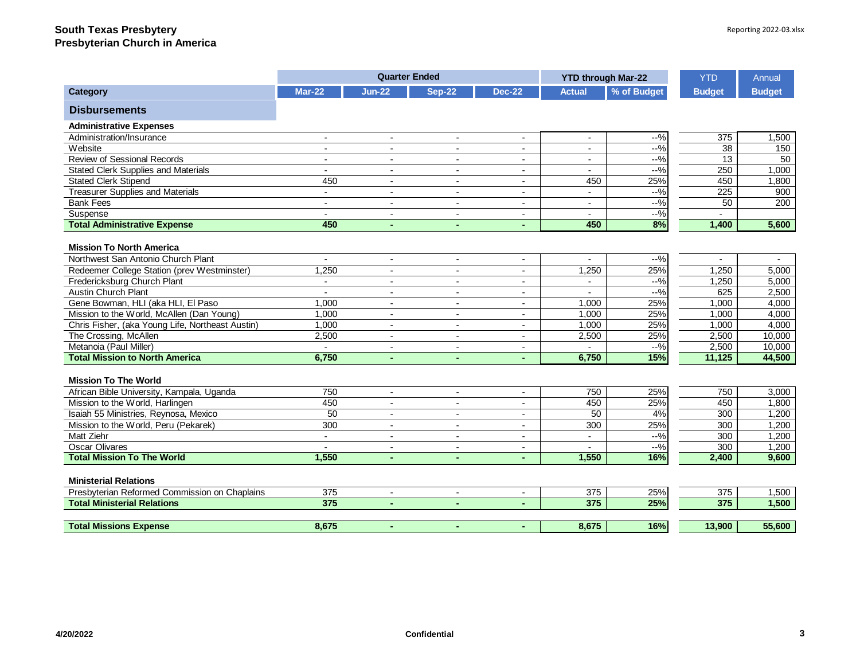|                                                  |                          | <b>Quarter Ended</b>     |                          |                          | <b>YTD through Mar-22</b> |             | <b>YTD</b>     | Annual         |
|--------------------------------------------------|--------------------------|--------------------------|--------------------------|--------------------------|---------------------------|-------------|----------------|----------------|
| Category                                         | <b>Mar-22</b>            | $Jun-22$                 | <b>Sep-22</b>            | <b>Dec-22</b>            | <b>Actual</b>             | % of Budget | <b>Budget</b>  | <b>Budget</b>  |
| <b>Disbursements</b>                             |                          |                          |                          |                          |                           |             |                |                |
| <b>Administrative Expenses</b>                   |                          |                          |                          |                          |                           |             |                |                |
| Administration/Insurance                         | $\blacksquare$           | $\blacksquare$           | $\blacksquare$           | $\blacksquare$           | $\overline{a}$            | $-9/0$      | 375            | 1,500          |
| Website                                          | $\overline{\phantom{a}}$ | $\overline{a}$           | $\overline{a}$           | $\overline{a}$           | $\sim$                    | $-9/0$      | 38             | 150            |
| Review of Sessional Records                      | $\blacksquare$           | $\blacksquare$           | $\overline{\phantom{0}}$ | $\blacksquare$           |                           | $-9/0$      | 13             | 50             |
| <b>Stated Clerk Supplies and Materials</b>       | $\blacksquare$           | $\overline{\phantom{a}}$ | $\blacksquare$           | $\blacksquare$           | $\overline{a}$            | $-9/0$      | 250            | 1,000          |
| <b>Stated Clerk Stipend</b>                      | 450                      | $\overline{a}$           | $\blacksquare$           | $\blacksquare$           | 450                       | 25%         | 450            | 1,800          |
| <b>Treasurer Supplies and Materials</b>          | $\sim$                   | $\blacksquare$           | $\blacksquare$           | $\overline{\phantom{a}}$ | $\overline{a}$            | $-9/0$      | 225            | 900            |
| <b>Bank Fees</b>                                 | $\blacksquare$           | $\overline{\phantom{a}}$ | $\blacksquare$           | $\overline{\phantom{a}}$ | $\blacksquare$            | $-9/6$      | 50             | 200            |
| Suspense                                         | $\sim$                   | $\overline{a}$           | $\blacksquare$           | $\blacksquare$           | $\overline{a}$            | $-$ %       | $\sim$         |                |
| <b>Total Administrative Expense</b>              | 450                      | L,                       | ÷                        |                          | 450                       | 8%          | 1,400          | 5,600          |
|                                                  |                          |                          |                          |                          |                           |             |                |                |
| <b>Mission To North America</b>                  |                          |                          |                          |                          |                           |             |                |                |
| Northwest San Antonio Church Plant               | $\blacksquare$           | $\overline{\phantom{a}}$ | $\overline{\phantom{a}}$ | $\sim$                   | $\overline{\phantom{a}}$  | $-9/0$      | $\blacksquare$ | $\blacksquare$ |
| Redeemer College Station (prev Westminster)      | 1,250                    | $\blacksquare$           | $\overline{\phantom{0}}$ | $\blacksquare$           | 1,250                     | 25%         | 1,250          | 5,000          |
| Fredericksburg Church Plant                      | $\blacksquare$           | $\blacksquare$           | $\blacksquare$           | $\blacksquare$           | $\overline{a}$            | $-9/0$      | 1,250          | 5,000          |
| <b>Austin Church Plant</b>                       |                          | $\overline{\phantom{a}}$ | $\blacksquare$           | $\overline{\phantom{a}}$ |                           | $-9/0$      | 625            | 2,500          |
| Gene Bowman, HLI (aka HLI, El Paso               | 1,000                    | $\blacksquare$           | $\blacksquare$           | $\blacksquare$           | 1.000                     | 25%         | 1,000          | 4,000          |
| Mission to the World, McAllen (Dan Young)        | 1,000                    | $\overline{\phantom{a}}$ | $\blacksquare$           | $\blacksquare$           | 1,000                     | 25%         | 1,000          | 4,000          |
| Chris Fisher, (aka Young Life, Northeast Austin) | 1,000                    | $\blacksquare$           | $\blacksquare$           | $\blacksquare$           | 1,000                     | 25%         | 1,000          | 4,000          |
| The Crossing, McAllen                            | 2,500                    | $\blacksquare$           | $\blacksquare$           | $\blacksquare$           | 2,500                     | 25%         | 2,500          | 10,000         |
| Metanoia (Paul Miller)                           | $\blacksquare$           | $\blacksquare$           | $\blacksquare$           | $\blacksquare$           |                           | $-9/0$      | 2,500          | 10.000         |
| <b>Total Mission to North America</b>            | 6,750                    | $\blacksquare$           | ÷                        |                          | 6,750                     | 15%         | 11,125         | 44,500         |
| <b>Mission To The World</b>                      |                          |                          |                          |                          |                           |             |                |                |
| African Bible University, Kampala, Uganda        | 750                      | $\blacksquare$           | $\blacksquare$           | $\blacksquare$           | 750                       | 25%         | 750            | 3,000          |
| Mission to the World, Harlingen                  | 450                      | $\overline{a}$           | $\overline{a}$           | $\overline{a}$           | 450                       | 25%         | 450            | 1,800          |
| Isaiah 55 Ministries, Reynosa, Mexico            | 50                       | $\blacksquare$           | $\blacksquare$           | $\blacksquare$           | 50                        | 4%          | 300            | 1,200          |
| Mission to the World, Peru (Pekarek)             | 300                      | $\overline{\phantom{a}}$ | $\blacksquare$           | $\overline{\phantom{a}}$ | 300                       | 25%         | 300            | 1,200          |
| Matt Ziehr                                       | $\blacksquare$           | $\overline{\phantom{a}}$ | $\blacksquare$           | $\blacksquare$           | $\sim$                    | $-9/0$      | 300            | 1,200          |
| <b>Oscar Olivares</b>                            |                          | $\overline{\phantom{0}}$ | $\blacksquare$           | $\blacksquare$           |                           | $-9/6$      | 300            | 1,200          |
| <b>Total Mission To The World</b>                | 1,550                    | $\blacksquare$           | ÷                        | ä,                       | 1,550                     | 16%         | 2,400          | 9,600          |
|                                                  |                          |                          |                          |                          |                           |             |                |                |
| <b>Ministerial Relations</b>                     |                          |                          |                          |                          |                           |             |                |                |
| Presbyterian Reformed Commission on Chaplains    | 375                      | $\overline{\phantom{a}}$ | $\sim$                   | $\blacksquare$           | 375                       | 25%         | 375            | 1,500          |
| <b>Total Ministerial Relations</b>               | 375                      | $\blacksquare$           | ÷                        |                          | 375                       | 25%         | 375            | 1,500          |
|                                                  |                          |                          |                          |                          |                           |             |                |                |
| <b>Total Missions Expense</b>                    | 8,675                    | $\blacksquare$           | ٠                        |                          | 8.675                     | 16%         | 13,900         | 55,600         |